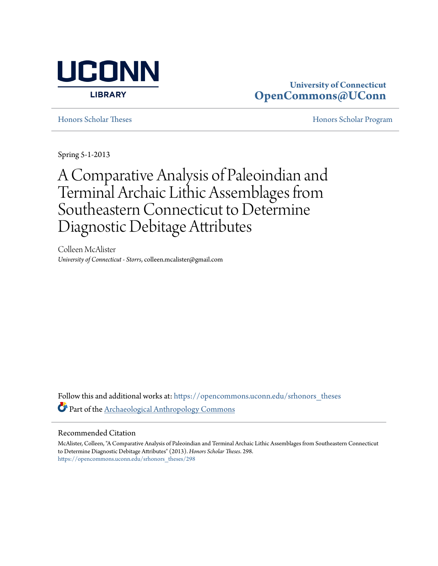

### **University of Connecticut [OpenCommons@UConn](https://opencommons.uconn.edu?utm_source=opencommons.uconn.edu%2Fsrhonors_theses%2F298&utm_medium=PDF&utm_campaign=PDFCoverPages)**

[Honors Scholar Theses](https://opencommons.uconn.edu/srhonors_theses?utm_source=opencommons.uconn.edu%2Fsrhonors_theses%2F298&utm_medium=PDF&utm_campaign=PDFCoverPages) [Honors Scholar Program](https://opencommons.uconn.edu/srhonors?utm_source=opencommons.uconn.edu%2Fsrhonors_theses%2F298&utm_medium=PDF&utm_campaign=PDFCoverPages)

Spring 5-1-2013

# A Comparative Analysis of Paleoindian and Terminal Archaic Lithic Assemblages from Southeastern Connecticut to Determine Diagnostic Debitage Attributes

Colleen McAlister *University of Connecticut - Storrs*, colleen.mcalister@gmail.com

Follow this and additional works at: [https://opencommons.uconn.edu/srhonors\\_theses](https://opencommons.uconn.edu/srhonors_theses?utm_source=opencommons.uconn.edu%2Fsrhonors_theses%2F298&utm_medium=PDF&utm_campaign=PDFCoverPages) Part of the [Archaeological Anthropology Commons](http://network.bepress.com/hgg/discipline/319?utm_source=opencommons.uconn.edu%2Fsrhonors_theses%2F298&utm_medium=PDF&utm_campaign=PDFCoverPages)

### Recommended Citation

McAlister, Colleen, "A Comparative Analysis of Paleoindian and Terminal Archaic Lithic Assemblages from Southeastern Connecticut to Determine Diagnostic Debitage Attributes" (2013). *Honors Scholar Theses*. 298. [https://opencommons.uconn.edu/srhonors\\_theses/298](https://opencommons.uconn.edu/srhonors_theses/298?utm_source=opencommons.uconn.edu%2Fsrhonors_theses%2F298&utm_medium=PDF&utm_campaign=PDFCoverPages)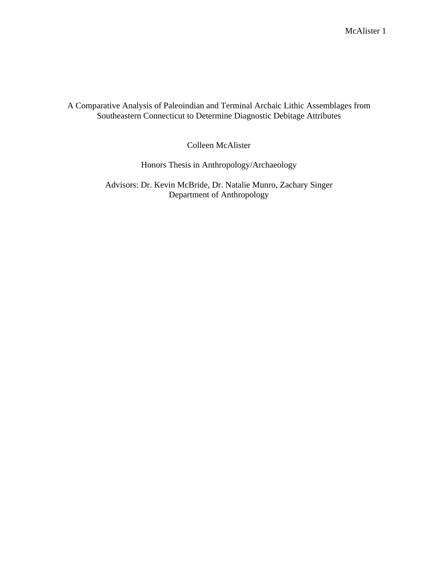### A Comparative Analysis of Paleoindian and Terminal Archaic Lithic Assemblages from Southeastern Connecticut to Determine Diagnostic Debitage Attributes

Colleen McAlister

Honors Thesis in Anthropology/Archaeology

Advisors: Dr. Kevin McBride, Dr. Natalie Munro, Zachary Singer Department of Anthropology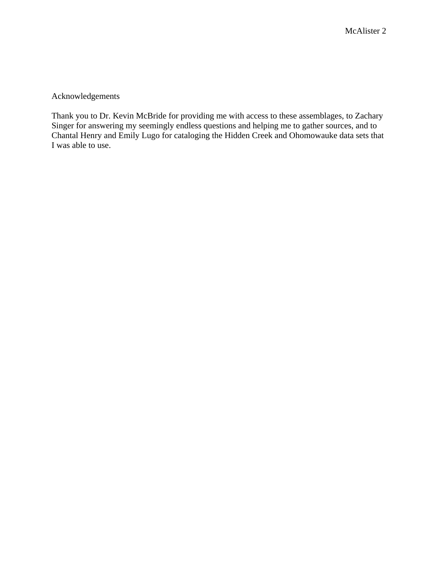Acknowledgements

Thank you to Dr. Kevin McBride for providing me with access to these assemblages, to Zachary Singer for answering my seemingly endless questions and helping me to gather sources, and to Chantal Henry and Emily Lugo for cataloging the Hidden Creek and Ohomowauke data sets that I was able to use.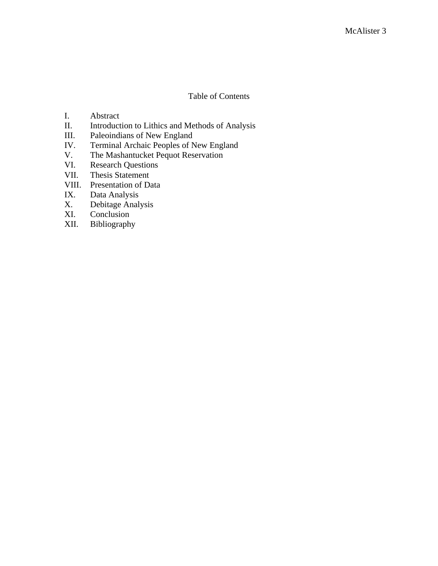### Table of Contents

- I. Abstract
- II. Introduction to Lithics and Methods of Analysis
- III. Paleoindians of New England<br>IV. Terminal Archaic Peoples of N
- IV. Terminal Archaic Peoples of New England<br>V. The Mashantucket Pequot Reservation
- The Mashantucket Pequot Reservation
- VI. Research Questions
- VII. Thesis Statement
- VIII. Presentation of Data<br>IX. Data Analysis
- Data Analysis
- X. Debitage Analysis<br>XI. Conclusion
- XI. Conclusion<br>XII. Bibliograph
- Bibliography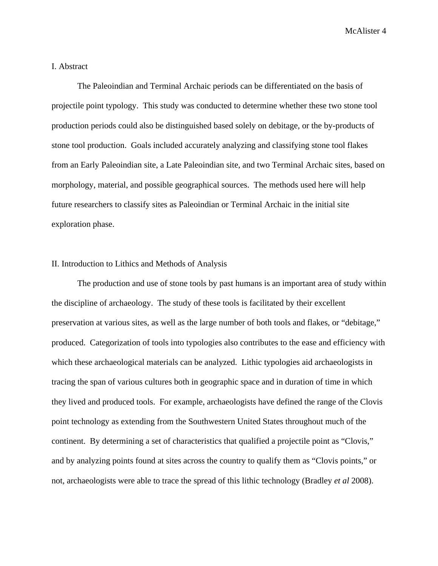### I. Abstract

The Paleoindian and Terminal Archaic periods can be differentiated on the basis of projectile point typology. This study was conducted to determine whether these two stone tool production periods could also be distinguished based solely on debitage, or the by-products of stone tool production. Goals included accurately analyzing and classifying stone tool flakes from an Early Paleoindian site, a Late Paleoindian site, and two Terminal Archaic sites, based on morphology, material, and possible geographical sources. The methods used here will help future researchers to classify sites as Paleoindian or Terminal Archaic in the initial site exploration phase.

### II. Introduction to Lithics and Methods of Analysis

The production and use of stone tools by past humans is an important area of study within the discipline of archaeology. The study of these tools is facilitated by their excellent preservation at various sites, as well as the large number of both tools and flakes, or "debitage," produced. Categorization of tools into typologies also contributes to the ease and efficiency with which these archaeological materials can be analyzed. Lithic typologies aid archaeologists in tracing the span of various cultures both in geographic space and in duration of time in which they lived and produced tools. For example, archaeologists have defined the range of the Clovis point technology as extending from the Southwestern United States throughout much of the continent. By determining a set of characteristics that qualified a projectile point as "Clovis," and by analyzing points found at sites across the country to qualify them as "Clovis points," or not, archaeologists were able to trace the spread of this lithic technology (Bradley *et al* 2008).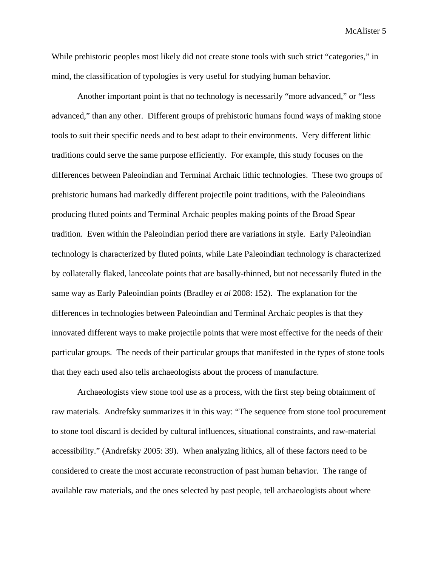While prehistoric peoples most likely did not create stone tools with such strict "categories," in mind, the classification of typologies is very useful for studying human behavior.

Another important point is that no technology is necessarily "more advanced," or "less advanced," than any other. Different groups of prehistoric humans found ways of making stone tools to suit their specific needs and to best adapt to their environments. Very different lithic traditions could serve the same purpose efficiently. For example, this study focuses on the differences between Paleoindian and Terminal Archaic lithic technologies. These two groups of prehistoric humans had markedly different projectile point traditions, with the Paleoindians producing fluted points and Terminal Archaic peoples making points of the Broad Spear tradition. Even within the Paleoindian period there are variations in style. Early Paleoindian technology is characterized by fluted points, while Late Paleoindian technology is characterized by collaterally flaked, lanceolate points that are basally-thinned, but not necessarily fluted in the same way as Early Paleoindian points (Bradley *et al* 2008: 152). The explanation for the differences in technologies between Paleoindian and Terminal Archaic peoples is that they innovated different ways to make projectile points that were most effective for the needs of their particular groups. The needs of their particular groups that manifested in the types of stone tools that they each used also tells archaeologists about the process of manufacture.

Archaeologists view stone tool use as a process, with the first step being obtainment of raw materials. Andrefsky summarizes it in this way: "The sequence from stone tool procurement to stone tool discard is decided by cultural influences, situational constraints, and raw-material accessibility." (Andrefsky 2005: 39). When analyzing lithics, all of these factors need to be considered to create the most accurate reconstruction of past human behavior. The range of available raw materials, and the ones selected by past people, tell archaeologists about where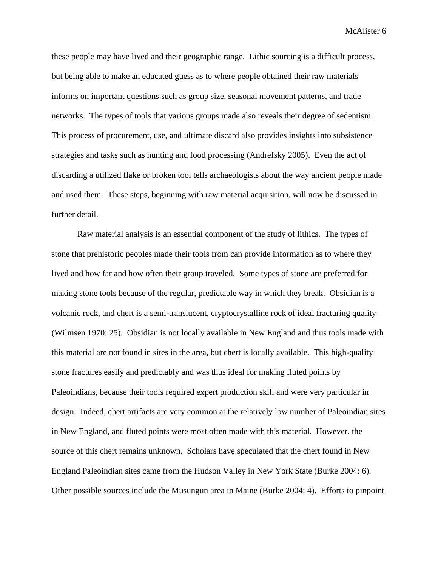these people may have lived and their geographic range. Lithic sourcing is a difficult process, but being able to make an educated guess as to where people obtained their raw materials informs on important questions such as group size, seasonal movement patterns, and trade networks. The types of tools that various groups made also reveals their degree of sedentism. This process of procurement, use, and ultimate discard also provides insights into subsistence strategies and tasks such as hunting and food processing (Andrefsky 2005). Even the act of discarding a utilized flake or broken tool tells archaeologists about the way ancient people made and used them. These steps, beginning with raw material acquisition, will now be discussed in further detail.

Raw material analysis is an essential component of the study of lithics. The types of stone that prehistoric peoples made their tools from can provide information as to where they lived and how far and how often their group traveled. Some types of stone are preferred for making stone tools because of the regular, predictable way in which they break. Obsidian is a volcanic rock, and chert is a semi-translucent, cryptocrystalline rock of ideal fracturing quality (Wilmsen 1970: 25). Obsidian is not locally available in New England and thus tools made with this material are not found in sites in the area, but chert is locally available. This high-quality stone fractures easily and predictably and was thus ideal for making fluted points by Paleoindians, because their tools required expert production skill and were very particular in design. Indeed, chert artifacts are very common at the relatively low number of Paleoindian sites in New England, and fluted points were most often made with this material. However, the source of this chert remains unknown. Scholars have speculated that the chert found in New England Paleoindian sites came from the Hudson Valley in New York State (Burke 2004: 6). Other possible sources include the Musungun area in Maine (Burke 2004: 4). Efforts to pinpoint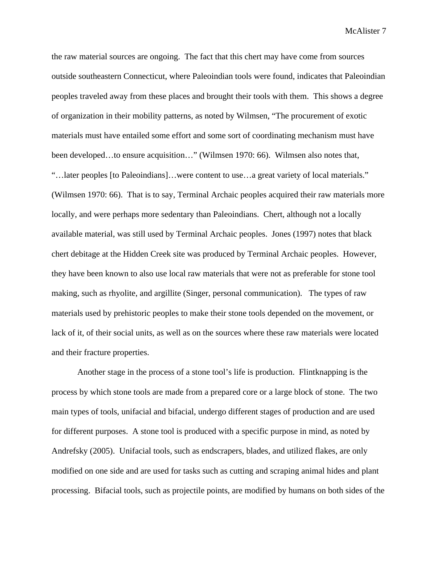the raw material sources are ongoing. The fact that this chert may have come from sources outside southeastern Connecticut, where Paleoindian tools were found, indicates that Paleoindian peoples traveled away from these places and brought their tools with them. This shows a degree of organization in their mobility patterns, as noted by Wilmsen, "The procurement of exotic materials must have entailed some effort and some sort of coordinating mechanism must have been developed…to ensure acquisition…" (Wilmsen 1970: 66). Wilmsen also notes that, "…later peoples [to Paleoindians]…were content to use…a great variety of local materials." (Wilmsen 1970: 66). That is to say, Terminal Archaic peoples acquired their raw materials more locally, and were perhaps more sedentary than Paleoindians. Chert, although not a locally available material, was still used by Terminal Archaic peoples. Jones (1997) notes that black chert debitage at the Hidden Creek site was produced by Terminal Archaic peoples. However, they have been known to also use local raw materials that were not as preferable for stone tool making, such as rhyolite, and argillite (Singer, personal communication). The types of raw materials used by prehistoric peoples to make their stone tools depended on the movement, or lack of it, of their social units, as well as on the sources where these raw materials were located and their fracture properties.

Another stage in the process of a stone tool's life is production. Flintknapping is the process by which stone tools are made from a prepared core or a large block of stone. The two main types of tools, unifacial and bifacial, undergo different stages of production and are used for different purposes. A stone tool is produced with a specific purpose in mind, as noted by Andrefsky (2005). Unifacial tools, such as endscrapers, blades, and utilized flakes, are only modified on one side and are used for tasks such as cutting and scraping animal hides and plant processing. Bifacial tools, such as projectile points, are modified by humans on both sides of the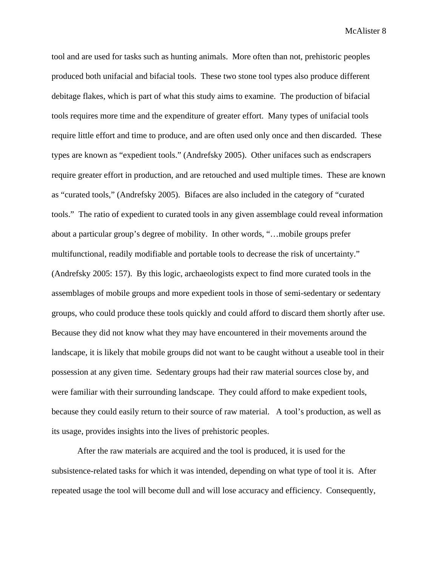tool and are used for tasks such as hunting animals. More often than not, prehistoric peoples produced both unifacial and bifacial tools. These two stone tool types also produce different debitage flakes, which is part of what this study aims to examine. The production of bifacial tools requires more time and the expenditure of greater effort. Many types of unifacial tools require little effort and time to produce, and are often used only once and then discarded. These types are known as "expedient tools." (Andrefsky 2005). Other unifaces such as endscrapers require greater effort in production, and are retouched and used multiple times. These are known as "curated tools," (Andrefsky 2005). Bifaces are also included in the category of "curated tools." The ratio of expedient to curated tools in any given assemblage could reveal information about a particular group's degree of mobility. In other words, "…mobile groups prefer multifunctional, readily modifiable and portable tools to decrease the risk of uncertainty." (Andrefsky 2005: 157). By this logic, archaeologists expect to find more curated tools in the assemblages of mobile groups and more expedient tools in those of semi-sedentary or sedentary groups, who could produce these tools quickly and could afford to discard them shortly after use. Because they did not know what they may have encountered in their movements around the landscape, it is likely that mobile groups did not want to be caught without a useable tool in their possession at any given time. Sedentary groups had their raw material sources close by, and were familiar with their surrounding landscape. They could afford to make expedient tools, because they could easily return to their source of raw material. A tool's production, as well as its usage, provides insights into the lives of prehistoric peoples.

After the raw materials are acquired and the tool is produced, it is used for the subsistence-related tasks for which it was intended, depending on what type of tool it is. After repeated usage the tool will become dull and will lose accuracy and efficiency. Consequently,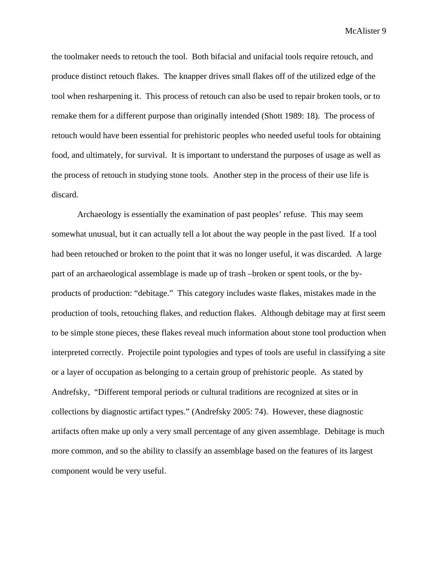the toolmaker needs to retouch the tool. Both bifacial and unifacial tools require retouch, and produce distinct retouch flakes. The knapper drives small flakes off of the utilized edge of the tool when resharpening it. This process of retouch can also be used to repair broken tools, or to remake them for a different purpose than originally intended (Shott 1989: 18). The process of retouch would have been essential for prehistoric peoples who needed useful tools for obtaining food, and ultimately, for survival. It is important to understand the purposes of usage as well as the process of retouch in studying stone tools. Another step in the process of their use life is discard.

Archaeology is essentially the examination of past peoples' refuse. This may seem somewhat unusual, but it can actually tell a lot about the way people in the past lived. If a tool had been retouched or broken to the point that it was no longer useful, it was discarded. A large part of an archaeological assemblage is made up of trash –broken or spent tools, or the byproducts of production: "debitage." This category includes waste flakes, mistakes made in the production of tools, retouching flakes, and reduction flakes. Although debitage may at first seem to be simple stone pieces, these flakes reveal much information about stone tool production when interpreted correctly. Projectile point typologies and types of tools are useful in classifying a site or a layer of occupation as belonging to a certain group of prehistoric people. As stated by Andrefsky, "Different temporal periods or cultural traditions are recognized at sites or in collections by diagnostic artifact types." (Andrefsky 2005: 74). However, these diagnostic artifacts often make up only a very small percentage of any given assemblage. Debitage is much more common, and so the ability to classify an assemblage based on the features of its largest component would be very useful.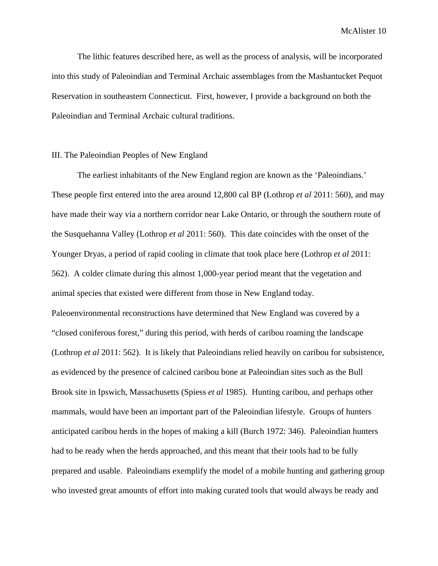The lithic features described here, as well as the process of analysis, will be incorporated into this study of Paleoindian and Terminal Archaic assemblages from the Mashantucket Pequot Reservation in southeastern Connecticut. First, however, I provide a background on both the Paleoindian and Terminal Archaic cultural traditions.

### III. The Paleoindian Peoples of New England

The earliest inhabitants of the New England region are known as the 'Paleoindians.' These people first entered into the area around 12,800 cal BP (Lothrop *et al* 2011: 560), and may have made their way via a northern corridor near Lake Ontario, or through the southern route of the Susquehanna Valley (Lothrop *et al* 2011: 560). This date coincides with the onset of the Younger Dryas, a period of rapid cooling in climate that took place here (Lothrop *et al* 2011: 562). A colder climate during this almost 1,000-year period meant that the vegetation and animal species that existed were different from those in New England today. Paleoenvironmental reconstructions have determined that New England was covered by a "closed coniferous forest," during this period, with herds of caribou roaming the landscape (Lothrop *et al* 2011: 562). It is likely that Paleoindians relied heavily on caribou for subsistence, as evidenced by the presence of calcined caribou bone at Paleoindian sites such as the Bull Brook site in Ipswich, Massachusetts (Spiess *et al* 1985). Hunting caribou, and perhaps other mammals, would have been an important part of the Paleoindian lifestyle. Groups of hunters anticipated caribou herds in the hopes of making a kill (Burch 1972: 346). Paleoindian hunters had to be ready when the herds approached, and this meant that their tools had to be fully prepared and usable. Paleoindians exemplify the model of a mobile hunting and gathering group who invested great amounts of effort into making curated tools that would always be ready and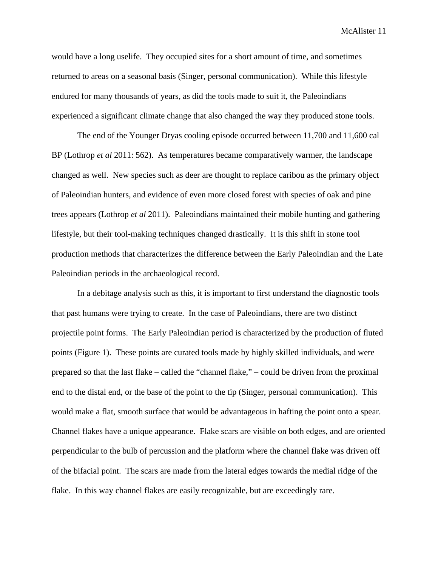would have a long uselife. They occupied sites for a short amount of time, and sometimes returned to areas on a seasonal basis (Singer, personal communication). While this lifestyle endured for many thousands of years, as did the tools made to suit it, the Paleoindians experienced a significant climate change that also changed the way they produced stone tools.

The end of the Younger Dryas cooling episode occurred between 11,700 and 11,600 cal BP (Lothrop *et al* 2011: 562). As temperatures became comparatively warmer, the landscape changed as well. New species such as deer are thought to replace caribou as the primary object of Paleoindian hunters, and evidence of even more closed forest with species of oak and pine trees appears (Lothrop *et al* 2011). Paleoindians maintained their mobile hunting and gathering lifestyle, but their tool-making techniques changed drastically. It is this shift in stone tool production methods that characterizes the difference between the Early Paleoindian and the Late Paleoindian periods in the archaeological record.

In a debitage analysis such as this, it is important to first understand the diagnostic tools that past humans were trying to create. In the case of Paleoindians, there are two distinct projectile point forms. The Early Paleoindian period is characterized by the production of fluted points (Figure 1). These points are curated tools made by highly skilled individuals, and were prepared so that the last flake – called the "channel flake," – could be driven from the proximal end to the distal end, or the base of the point to the tip (Singer, personal communication). This would make a flat, smooth surface that would be advantageous in hafting the point onto a spear. Channel flakes have a unique appearance. Flake scars are visible on both edges, and are oriented perpendicular to the bulb of percussion and the platform where the channel flake was driven off of the bifacial point. The scars are made from the lateral edges towards the medial ridge of the flake. In this way channel flakes are easily recognizable, but are exceedingly rare.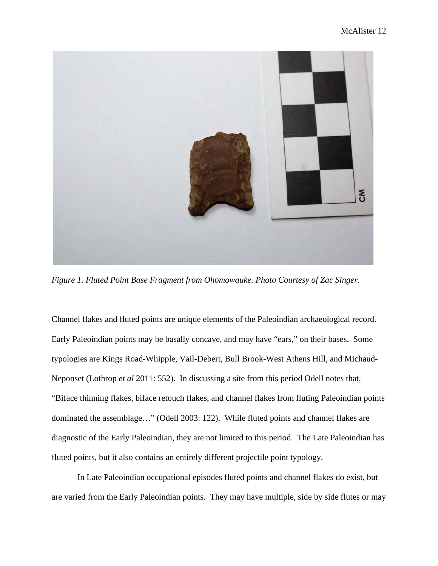

*Figure 1. Fluted Point Base Fragment from Ohomowauke. Photo Courtesy of Zac Singer.*

Channel flakes and fluted points are unique elements of the Paleoindian archaeological record. Early Paleoindian points may be basally concave, and may have "ears," on their bases. Some typologies are Kings Road-Whipple, Vail-Debert, Bull Brook-West Athens Hill, and Michaud-Neponset (Lothrop *et al* 2011: 552). In discussing a site from this period Odell notes that, "Biface thinning flakes, biface retouch flakes, and channel flakes from fluting Paleoindian points dominated the assemblage…" (Odell 2003: 122). While fluted points and channel flakes are diagnostic of the Early Paleoindian, they are not limited to this period. The Late Paleoindian has fluted points, but it also contains an entirely different projectile point typology.

In Late Paleoindian occupational episodes fluted points and channel flakes do exist, but are varied from the Early Paleoindian points. They may have multiple, side by side flutes or may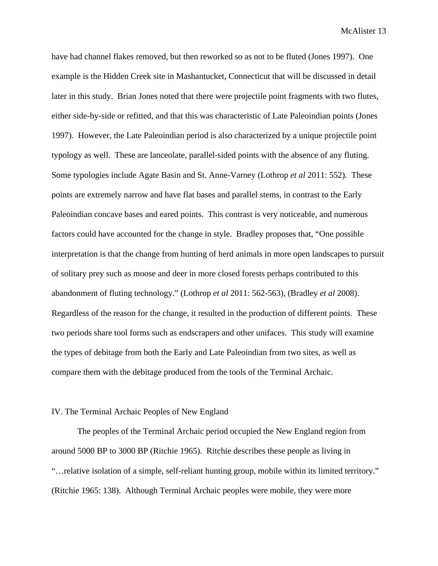have had channel flakes removed, but then reworked so as not to be fluted (Jones 1997). One example is the Hidden Creek site in Mashantucket, Connecticut that will be discussed in detail later in this study. Brian Jones noted that there were projectile point fragments with two flutes, either side-by-side or refitted, and that this was characteristic of Late Paleoindian points (Jones 1997). However, the Late Paleoindian period is also characterized by a unique projectile point typology as well. These are lanceolate, parallel-sided points with the absence of any fluting. Some typologies include Agate Basin and St. Anne-Varney (Lothrop *et al* 2011: 552). These points are extremely narrow and have flat bases and parallel stems, in contrast to the Early Paleoindian concave bases and eared points. This contrast is very noticeable, and numerous factors could have accounted for the change in style. Bradley proposes that, "One possible interpretation is that the change from hunting of herd animals in more open landscapes to pursuit of solitary prey such as moose and deer in more closed forests perhaps contributed to this abandonment of fluting technology." (Lothrop *et al* 2011: 562-563), (Bradley *et al* 2008). Regardless of the reason for the change, it resulted in the production of different points. These two periods share tool forms such as endscrapers and other unifaces. This study will examine the types of debitage from both the Early and Late Paleoindian from two sites, as well as compare them with the debitage produced from the tools of the Terminal Archaic.

### IV. The Terminal Archaic Peoples of New England

The peoples of the Terminal Archaic period occupied the New England region from around 5000 BP to 3000 BP (Ritchie 1965). Ritchie describes these people as living in "…relative isolation of a simple, self-reliant hunting group, mobile within its limited territory." (Ritchie 1965: 138). Although Terminal Archaic peoples were mobile, they were more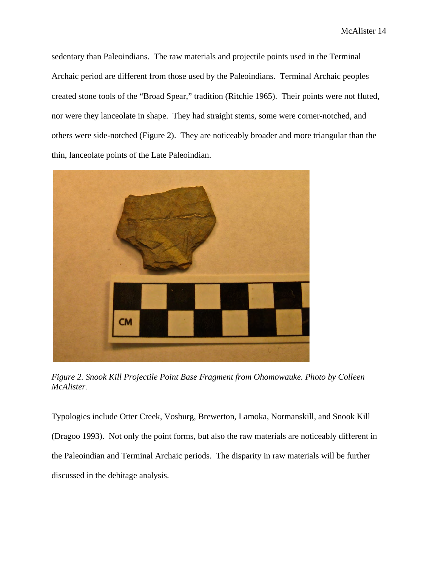sedentary than Paleoindians. The raw materials and projectile points used in the Terminal Archaic period are different from those used by the Paleoindians. Terminal Archaic peoples created stone tools of the "Broad Spear," tradition (Ritchie 1965). Their points were not fluted, nor were they lanceolate in shape. They had straight stems, some were corner-notched, and others were side-notched (Figure 2). They are noticeably broader and more triangular than the thin, lanceolate points of the Late Paleoindian.



*Figure 2. Snook Kill Projectile Point Base Fragment from Ohomowauke. Photo by Colleen McAlister*.

Typologies include Otter Creek, Vosburg, Brewerton, Lamoka, Normanskill, and Snook Kill (Dragoo 1993). Not only the point forms, but also the raw materials are noticeably different in the Paleoindian and Terminal Archaic periods. The disparity in raw materials will be further discussed in the debitage analysis.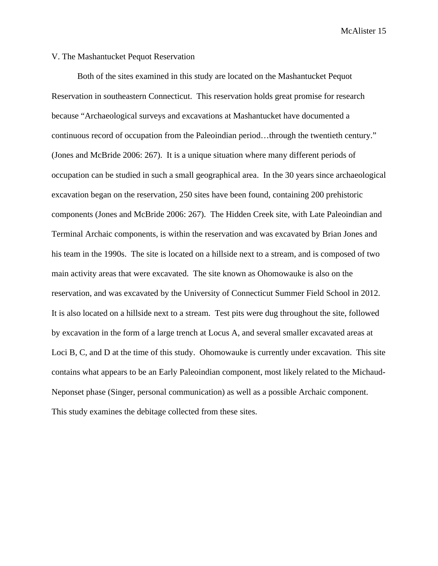### V. The Mashantucket Pequot Reservation

Both of the sites examined in this study are located on the Mashantucket Pequot Reservation in southeastern Connecticut. This reservation holds great promise for research because "Archaeological surveys and excavations at Mashantucket have documented a continuous record of occupation from the Paleoindian period…through the twentieth century." (Jones and McBride 2006: 267). It is a unique situation where many different periods of occupation can be studied in such a small geographical area. In the 30 years since archaeological excavation began on the reservation, 250 sites have been found, containing 200 prehistoric components (Jones and McBride 2006: 267). The Hidden Creek site, with Late Paleoindian and Terminal Archaic components, is within the reservation and was excavated by Brian Jones and his team in the 1990s. The site is located on a hillside next to a stream, and is composed of two main activity areas that were excavated. The site known as Ohomowauke is also on the reservation, and was excavated by the University of Connecticut Summer Field School in 2012. It is also located on a hillside next to a stream. Test pits were dug throughout the site, followed by excavation in the form of a large trench at Locus A, and several smaller excavated areas at Loci B, C, and D at the time of this study. Ohomowauke is currently under excavation. This site contains what appears to be an Early Paleoindian component, most likely related to the Michaud-Neponset phase (Singer, personal communication) as well as a possible Archaic component. This study examines the debitage collected from these sites.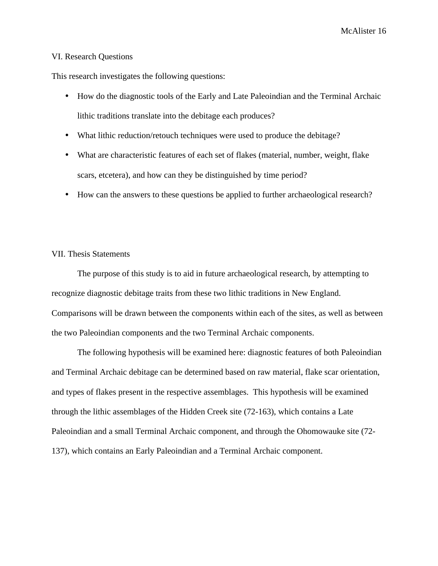### VI. Research Questions

This research investigates the following questions:

- How do the diagnostic tools of the Early and Late Paleoindian and the Terminal Archaic lithic traditions translate into the debitage each produces?
- What lithic reduction/retouch techniques were used to produce the debitage?
- What are characteristic features of each set of flakes (material, number, weight, flake scars, etcetera), and how can they be distinguished by time period?
- How can the answers to these questions be applied to further archaeological research?

### VII. Thesis Statements

The purpose of this study is to aid in future archaeological research, by attempting to recognize diagnostic debitage traits from these two lithic traditions in New England. Comparisons will be drawn between the components within each of the sites, as well as between the two Paleoindian components and the two Terminal Archaic components.

The following hypothesis will be examined here: diagnostic features of both Paleoindian and Terminal Archaic debitage can be determined based on raw material, flake scar orientation, and types of flakes present in the respective assemblages. This hypothesis will be examined through the lithic assemblages of the Hidden Creek site (72-163), which contains a Late Paleoindian and a small Terminal Archaic component, and through the Ohomowauke site (72- 137), which contains an Early Paleoindian and a Terminal Archaic component.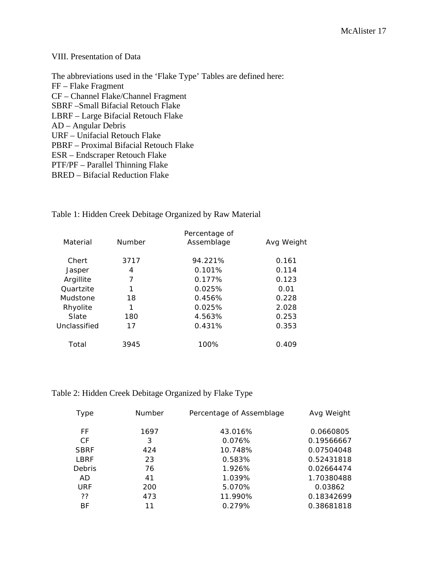### VIII. Presentation of Data

The abbreviations used in the 'Flake Type' Tables are defined here: FF – Flake Fragment CF – Channel Flake/Channel Fragment SBRF –Small Bifacial Retouch Flake LBRF – Large Bifacial Retouch Flake AD – Angular Debris URF – Unifacial Retouch Flake PBRF – Proximal Bifacial Retouch Flake ESR – Endscraper Retouch Flake PTF/PF – Parallel Thinning Flake BRED – Bifacial Reduction Flake

| Material     | Number | Percentage of<br>Assemblage | Avg Weight |
|--------------|--------|-----------------------------|------------|
| Chert        | 3717   | 94.221%                     | 0.161      |
| Jasper       | 4      | 0.101%                      | 0.114      |
| Argillite    | 7      | 0.177%                      | 0.123      |
| Quartzite    | 1      | 0.025%                      | 0.01       |
| Mudstone     | 18     | 0.456%                      | 0.228      |
| Rhyolite     | 1      | 0.025%                      | 2.028      |
| Slate        | 180    | 4.563%                      | 0.253      |
| Unclassified | 17     | 0.431%                      | 0.353      |
| Total        | 3945   | 100%                        | 0.409      |

### Table 1: Hidden Creek Debitage Organized by Raw Material

### Table 2: Hidden Creek Debitage Organized by Flake Type

| Type          | <b>Number</b> | Percentage of Assemblage | Avg Weight |
|---------------|---------------|--------------------------|------------|
| FF.           | 1697          | 43.016%                  | 0.0660805  |
| СF            | 3             | 0.076%                   | 0.19566667 |
| <b>SBRF</b>   | 424           | 10.748%                  | 0.07504048 |
| LBRF          | 23            | 0.583%                   | 0.52431818 |
| <b>Debris</b> | 76            | 1.926%                   | 0.02664474 |
| AD            | 41            | 1.039%                   | 1.70380488 |
| <b>URF</b>    | 200           | 5.070%                   | 0.03862    |
| ??            | 473           | 11.990%                  | 0.18342699 |
| BF            | 11            | 0.279%                   | 0.38681818 |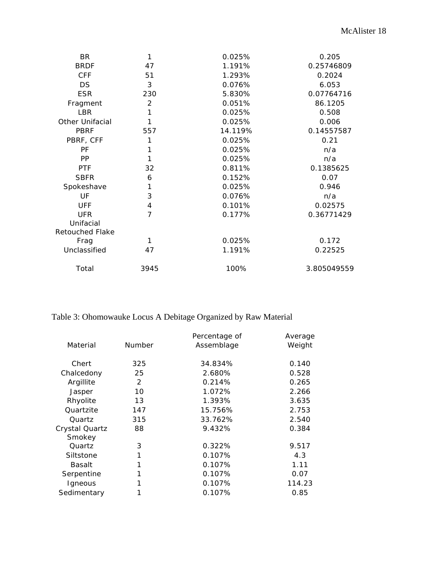| <b>BR</b>              | 1              | 0.025%  | 0.205       |
|------------------------|----------------|---------|-------------|
| <b>BRDF</b>            | 47             | 1.191%  | 0.25746809  |
| <b>CFF</b>             | 51             | 1.293%  | 0.2024      |
| <b>DS</b>              | 3              | 0.076%  | 6.053       |
| <b>ESR</b>             | 230            | 5.830%  | 0.07764716  |
| Fragment               | $\overline{2}$ | 0.051%  | 86.1205     |
| <b>LBR</b>             | 1              | 0.025%  | 0.508       |
| <b>Other Unifacial</b> | 1              | 0.025%  | 0.006       |
| <b>PBRF</b>            | 557            | 14.119% | 0.14557587  |
| PBRF, CFF              | 1              | 0.025%  | 0.21        |
| <b>PF</b>              |                | 0.025%  | n/a         |
| <b>PP</b>              | 1              | 0.025%  | n/a         |
| <b>PTF</b>             | 32             | 0.811%  | 0.1385625   |
| <b>SBFR</b>            | 6              | 0.152%  | 0.07        |
| Spokeshave             | 1              | 0.025%  | 0.946       |
| UF                     | 3              | 0.076%  | n/a         |
| <b>UFF</b>             | 4              | 0.101%  | 0.02575     |
| <b>UFR</b>             | 7              | 0.177%  | 0.36771429  |
| Unifacial              |                |         |             |
| <b>Retouched Flake</b> |                |         |             |
| Frag                   | 1              | 0.025%  | 0.172       |
| Unclassified           | 47             | 1.191%  | 0.22525     |
| Total                  | 3945           | 100%    | 3.805049559 |

# Table 3: Ohomowauke Locus A Debitage Organized by Raw Material

| Number | Percentage of<br>Assemblage | Average<br>Weight |
|--------|-----------------------------|-------------------|
| 325    | 34.834%                     | 0.140             |
| 25     | 2.680%                      | 0.528             |
| 2      | 0.214%                      | 0.265             |
| 10     | 1.072%                      | 2.266             |
| 13     | 1.393%                      | 3.635             |
| 147    | 15.756%                     | 2.753             |
| 315    | 33.762%                     | 2.540             |
| 88     | 9.432%                      | 0.384             |
| 3      | 0.322%                      | 9.517             |
|        | 0.107%                      | 4.3               |
| 1      | 0.107%                      | 1.11              |
|        | 0.107%                      | 0.07              |
|        | 0.107%                      | 114.23            |
|        | 0.107%                      | 0.85              |
|        |                             |                   |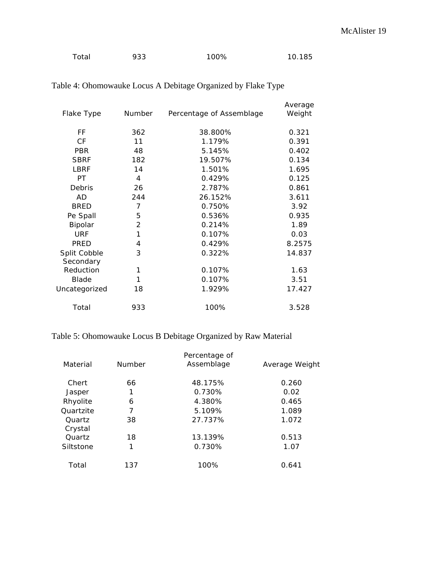| Total | 933 | 100% | 10.185 |
|-------|-----|------|--------|
|       |     |      |        |

| Flake Type                | Number         | Percentage of Assemblage | Average<br>Weight |
|---------------------------|----------------|--------------------------|-------------------|
| FF                        | 362            | 38.800%                  | 0.321             |
| <b>CF</b>                 | 11             | 1.179%                   | 0.391             |
| <b>PBR</b>                | 48             | 5.145%                   | 0.402             |
| <b>SBRF</b>               | 182            | 19.507%                  | 0.134             |
| <b>LBRF</b>               | 14             | 1.501%                   | 1.695             |
| PT.                       | 4              | 0.429%                   | 0.125             |
| Debris                    | 26             | 2.787%                   | 0.861             |
| AD                        | 244            | 26.152%                  | 3.611             |
| <b>BRED</b>               | $\overline{7}$ | 0.750%                   | 3.92              |
| Pe Spall                  | 5              | 0.536%                   | 0.935             |
| Bipolar                   | 2              | 0.214%                   | 1.89              |
| <b>URF</b>                | 1              | 0.107%                   | 0.03              |
| PRED                      | 4              | 0.429%                   | 8.2575            |
| Split Cobble<br>Secondary | 3              | 0.322%                   | 14.837            |
| Reduction                 | 1              | 0.107%                   | 1.63              |
| <b>Blade</b>              | 1              | 0.107%                   | 3.51              |
| Uncategorized             | 18             | 1.929%                   | 17.427            |
| Total                     | 933            | 100%                     | 3.528             |

# Table 4: Ohomowauke Locus A Debitage Organized by Flake Type

# Table 5: Ohomowauke Locus B Debitage Organized by Raw Material

| Material          | Number | Percentage of<br>Assemblage | Average Weight |
|-------------------|--------|-----------------------------|----------------|
| Chert             | 66     | 48.175%                     | 0.260          |
| Jasper            | 1      | 0.730%                      | 0.02           |
| Rhyolite          | 6      | 4.380%                      | 0.465          |
| Quartzite         | 7      | 5.109%                      | 1.089          |
| Quartz<br>Crystal | 38     | 27.737%                     | 1.072          |
| Quartz            | 18     | 13.139%                     | 0.513          |
| Siltstone         | 1      | 0.730%                      | 1.07           |
| Total             | 137    | 100%                        | 0.641          |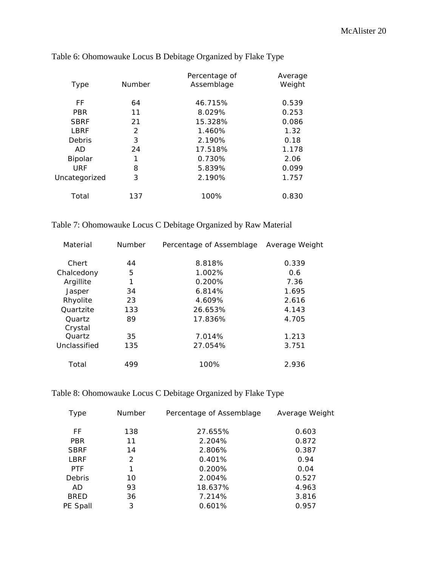| Type          | Number | Percentage of<br>Assemblage | Average<br>Weight |
|---------------|--------|-----------------------------|-------------------|
| FF            | 64     | 46.715%                     | 0.539             |
| <b>PBR</b>    | 11     | 8.029%                      | 0.253             |
| <b>SBRF</b>   | 21     | 15.328%                     | 0.086             |
| LBRF          | 2      | 1.460%                      | 1.32              |
| Debris        | 3      | 2.190%                      | 0.18              |
| AD            | 24     | 17.518%                     | 1.178             |
| Bipolar       | 1      | 0.730%                      | 2.06              |
| <b>URF</b>    | 8      | 5.839%                      | 0.099             |
| Uncategorized | 3      | 2.190%                      | 1.757             |
| Total         | 137    | 100%                        | 0.830             |

# Table 6: Ohomowauke Locus B Debitage Organized by Flake Type

|  | Table 7: Ohomowauke Locus C Debitage Organized by Raw Material |  |  |  |  |
|--|----------------------------------------------------------------|--|--|--|--|
|  |                                                                |  |  |  |  |

| Material          | <b>Number</b> | Percentage of Assemblage | Average Weight |
|-------------------|---------------|--------------------------|----------------|
| Chert             | 44            | 8.818%                   | 0.339          |
| Chalcedony        | 5             | 1.002%                   | 0.6            |
| Argillite         | 1             | $0.200\%$                | 7.36           |
| Jasper            | 34            | 6.814%                   | 1.695          |
| Rhyolite          | 23            | 4.609%                   | 2.616          |
| Quartzite         | 133           | 26.653%                  | 4.143          |
| Quartz<br>Crystal | 89            | 17.836%                  | 4.705          |
| Quartz            | 35            | 7.014%                   | 1.213          |
| Unclassified      | 135           | 27.054%                  | 3.751          |
| Total             | 499           | 100%                     | 2.936          |

# Table 8: Ohomowauke Locus C Debitage Organized by Flake Type

| Type        | <b>Number</b> | Percentage of Assemblage | Average Weight |
|-------------|---------------|--------------------------|----------------|
| FF          | 138           | 27.655%                  | 0.603          |
| <b>PBR</b>  | 11            | 2.204%                   | 0.872          |
| <b>SBRF</b> | 14            | 2.806%                   | 0.387          |
| <b>LBRF</b> | 2             | 0.401%                   | 0.94           |
| <b>PTF</b>  | 1             | 0.200%                   | 0.04           |
| Debris      | 10            | 2.004%                   | 0.527          |
| AD.         | 93            | 18.637%                  | 4.963          |
| <b>BRED</b> | 36            | 7.214%                   | 3.816          |
| PE Spall    | 3             | 0.601%                   | 0.957          |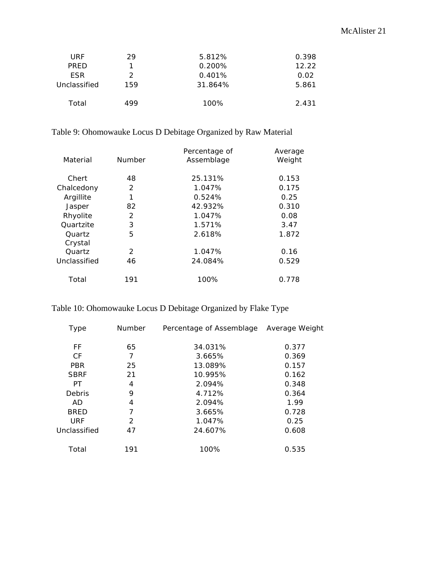| URF          | 29  | 5.812%    | 0.398 |
|--------------|-----|-----------|-------|
| <b>PRED</b>  |     | $0.200\%$ | 12.22 |
| <b>FSR</b>   | 2   | 0.401%    | 0.02  |
| Unclassified | 159 | 31.864%   | 5.861 |
| Total        | 499 | 100%      | 2.431 |

# Table 9: Ohomowauke Locus D Debitage Organized by Raw Material

| Material     | Number        | Percentage of<br>Assemblage | Average<br>Weight |
|--------------|---------------|-----------------------------|-------------------|
| Chert        | 48            | 25.131%                     | 0.153             |
| Chalcedony   | 2             | 1.047%                      | 0.175             |
| Argillite    | 1             | 0.524%                      | 0.25              |
| Jasper       | 82            | 42.932%                     | 0.310             |
| Rhyolite     | $\mathcal{P}$ | 1.047%                      | 0.08              |
| Quartzite    | 3             | 1.571%                      | 3.47              |
| Quartz       | 5             | 2.618%                      | 1.872             |
| Crystal      |               |                             |                   |
| Quartz       | $\mathcal{P}$ | 1.047%                      | 0.16              |
| Unclassified | 46            | 24.084%                     | 0.529             |
| Total        | 191           | 100%                        | 0.778             |

# Table 10: Ohomowauke Locus D Debitage Organized by Flake Type

| Type         | <b>Number</b> | Percentage of Assemblage | Average Weight |
|--------------|---------------|--------------------------|----------------|
| FF           | 65            | 34.031%                  | 0.377          |
| <b>CF</b>    | 7             | 3.665%                   | 0.369          |
| <b>PBR</b>   | 25            | 13.089%                  | 0.157          |
| <b>SBRF</b>  | 21            | 10.995%                  | 0.162          |
| PT           | 4             | 2.094%                   | 0.348          |
| Debris       | 9             | 4.712%                   | 0.364          |
| AD.          | 4             | 2.094%                   | 1.99           |
| <b>BRED</b>  | 7             | 3.665%                   | 0.728          |
| <b>URF</b>   | 2             | 1.047%                   | 0.25           |
| Unclassified | 47            | 24.607%                  | 0.608          |
| Total        | 191           | 100%                     | 0.535          |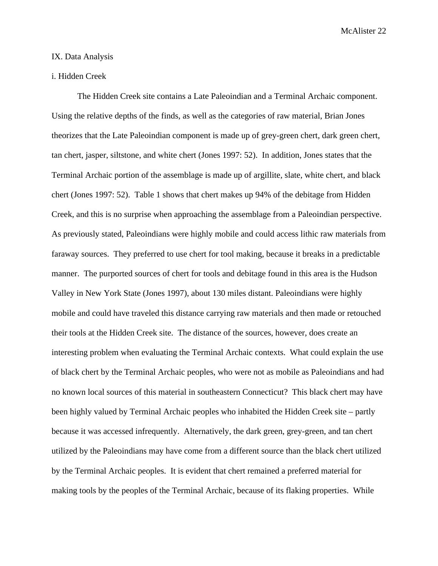### IX. Data Analysis

### i. Hidden Creek

The Hidden Creek site contains a Late Paleoindian and a Terminal Archaic component. Using the relative depths of the finds, as well as the categories of raw material, Brian Jones theorizes that the Late Paleoindian component is made up of grey-green chert, dark green chert, tan chert, jasper, siltstone, and white chert (Jones 1997: 52). In addition, Jones states that the Terminal Archaic portion of the assemblage is made up of argillite, slate, white chert, and black chert (Jones 1997: 52). Table 1 shows that chert makes up 94% of the debitage from Hidden Creek, and this is no surprise when approaching the assemblage from a Paleoindian perspective. As previously stated, Paleoindians were highly mobile and could access lithic raw materials from faraway sources. They preferred to use chert for tool making, because it breaks in a predictable manner. The purported sources of chert for tools and debitage found in this area is the Hudson Valley in New York State (Jones 1997), about 130 miles distant. Paleoindians were highly mobile and could have traveled this distance carrying raw materials and then made or retouched their tools at the Hidden Creek site. The distance of the sources, however, does create an interesting problem when evaluating the Terminal Archaic contexts. What could explain the use of black chert by the Terminal Archaic peoples, who were not as mobile as Paleoindians and had no known local sources of this material in southeastern Connecticut? This black chert may have been highly valued by Terminal Archaic peoples who inhabited the Hidden Creek site – partly because it was accessed infrequently. Alternatively, the dark green, grey-green, and tan chert utilized by the Paleoindians may have come from a different source than the black chert utilized by the Terminal Archaic peoples. It is evident that chert remained a preferred material for making tools by the peoples of the Terminal Archaic, because of its flaking properties. While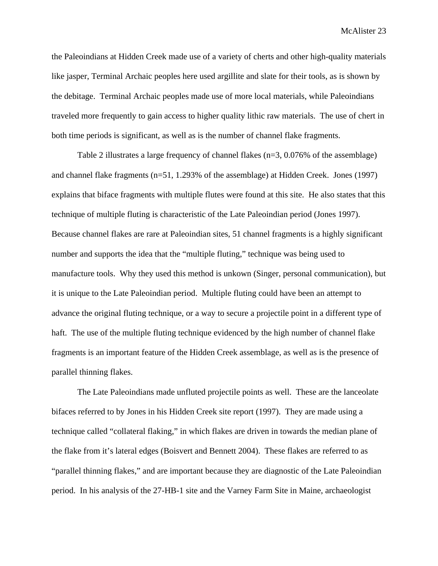the Paleoindians at Hidden Creek made use of a variety of cherts and other high-quality materials like jasper, Terminal Archaic peoples here used argillite and slate for their tools, as is shown by the debitage. Terminal Archaic peoples made use of more local materials, while Paleoindians traveled more frequently to gain access to higher quality lithic raw materials. The use of chert in both time periods is significant, as well as is the number of channel flake fragments.

Table 2 illustrates a large frequency of channel flakes (n=3, 0.076% of the assemblage) and channel flake fragments (n=51, 1.293% of the assemblage) at Hidden Creek. Jones (1997) explains that biface fragments with multiple flutes were found at this site. He also states that this technique of multiple fluting is characteristic of the Late Paleoindian period (Jones 1997). Because channel flakes are rare at Paleoindian sites, 51 channel fragments is a highly significant number and supports the idea that the "multiple fluting," technique was being used to manufacture tools. Why they used this method is unkown (Singer, personal communication), but it is unique to the Late Paleoindian period. Multiple fluting could have been an attempt to advance the original fluting technique, or a way to secure a projectile point in a different type of haft. The use of the multiple fluting technique evidenced by the high number of channel flake fragments is an important feature of the Hidden Creek assemblage, as well as is the presence of parallel thinning flakes.

The Late Paleoindians made unfluted projectile points as well. These are the lanceolate bifaces referred to by Jones in his Hidden Creek site report (1997). They are made using a technique called "collateral flaking," in which flakes are driven in towards the median plane of the flake from it's lateral edges (Boisvert and Bennett 2004). These flakes are referred to as "parallel thinning flakes," and are important because they are diagnostic of the Late Paleoindian period. In his analysis of the 27-HB-1 site and the Varney Farm Site in Maine, archaeologist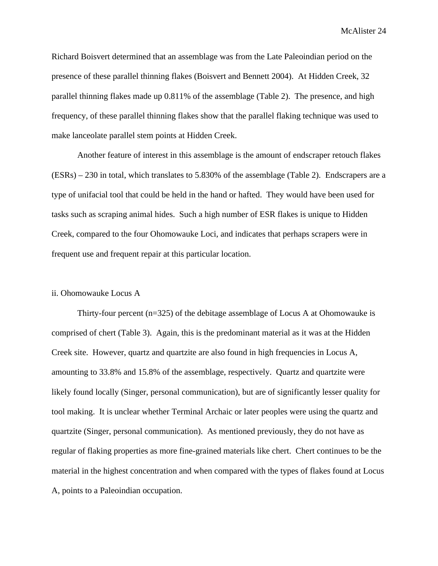Richard Boisvert determined that an assemblage was from the Late Paleoindian period on the presence of these parallel thinning flakes (Boisvert and Bennett 2004). At Hidden Creek, 32 parallel thinning flakes made up 0.811% of the assemblage (Table 2). The presence, and high frequency, of these parallel thinning flakes show that the parallel flaking technique was used to make lanceolate parallel stem points at Hidden Creek.

Another feature of interest in this assemblage is the amount of endscraper retouch flakes (ESRs) – 230 in total, which translates to 5.830% of the assemblage (Table 2). Endscrapers are a type of unifacial tool that could be held in the hand or hafted. They would have been used for tasks such as scraping animal hides. Such a high number of ESR flakes is unique to Hidden Creek, compared to the four Ohomowauke Loci, and indicates that perhaps scrapers were in frequent use and frequent repair at this particular location.

### ii. Ohomowauke Locus A

Thirty-four percent  $(n=325)$  of the debitage assemblage of Locus A at Ohomowauke is comprised of chert (Table 3). Again, this is the predominant material as it was at the Hidden Creek site. However, quartz and quartzite are also found in high frequencies in Locus A, amounting to 33.8% and 15.8% of the assemblage, respectively. Quartz and quartzite were likely found locally (Singer, personal communication), but are of significantly lesser quality for tool making. It is unclear whether Terminal Archaic or later peoples were using the quartz and quartzite (Singer, personal communication). As mentioned previously, they do not have as regular of flaking properties as more fine-grained materials like chert. Chert continues to be the material in the highest concentration and when compared with the types of flakes found at Locus A, points to a Paleoindian occupation.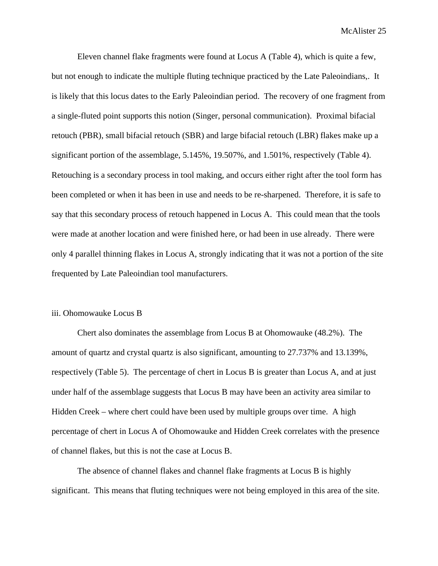Eleven channel flake fragments were found at Locus A (Table 4), which is quite a few, but not enough to indicate the multiple fluting technique practiced by the Late Paleoindians,. It is likely that this locus dates to the Early Paleoindian period. The recovery of one fragment from a single-fluted point supports this notion (Singer, personal communication). Proximal bifacial retouch (PBR), small bifacial retouch (SBR) and large bifacial retouch (LBR) flakes make up a significant portion of the assemblage, 5.145%, 19.507%, and 1.501%, respectively (Table 4). Retouching is a secondary process in tool making, and occurs either right after the tool form has been completed or when it has been in use and needs to be re-sharpened. Therefore, it is safe to say that this secondary process of retouch happened in Locus A. This could mean that the tools were made at another location and were finished here, or had been in use already. There were only 4 parallel thinning flakes in Locus A, strongly indicating that it was not a portion of the site frequented by Late Paleoindian tool manufacturers.

### iii. Ohomowauke Locus B

Chert also dominates the assemblage from Locus B at Ohomowauke (48.2%). The amount of quartz and crystal quartz is also significant, amounting to 27.737% and 13.139%, respectively (Table 5). The percentage of chert in Locus B is greater than Locus A, and at just under half of the assemblage suggests that Locus B may have been an activity area similar to Hidden Creek – where chert could have been used by multiple groups over time. A high percentage of chert in Locus A of Ohomowauke and Hidden Creek correlates with the presence of channel flakes, but this is not the case at Locus B.

The absence of channel flakes and channel flake fragments at Locus B is highly significant. This means that fluting techniques were not being employed in this area of the site.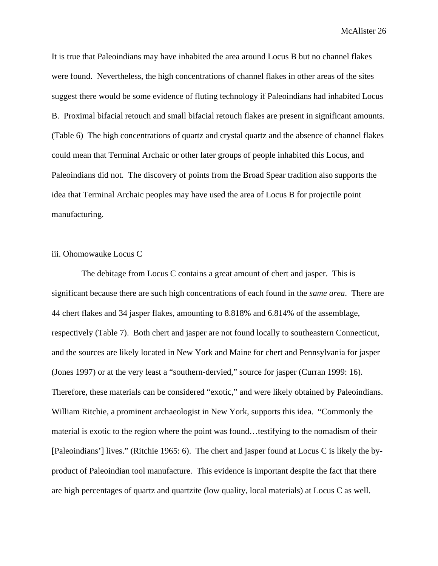It is true that Paleoindians may have inhabited the area around Locus B but no channel flakes were found. Nevertheless, the high concentrations of channel flakes in other areas of the sites suggest there would be some evidence of fluting technology if Paleoindians had inhabited Locus B. Proximal bifacial retouch and small bifacial retouch flakes are present in significant amounts. (Table 6) The high concentrations of quartz and crystal quartz and the absence of channel flakes could mean that Terminal Archaic or other later groups of people inhabited this Locus, and Paleoindians did not. The discovery of points from the Broad Spear tradition also supports the idea that Terminal Archaic peoples may have used the area of Locus B for projectile point manufacturing.

### iii. Ohomowauke Locus C

 The debitage from Locus C contains a great amount of chert and jasper. This is significant because there are such high concentrations of each found in the *same area*. There are 44 chert flakes and 34 jasper flakes, amounting to 8.818% and 6.814% of the assemblage, respectively (Table 7). Both chert and jasper are not found locally to southeastern Connecticut, and the sources are likely located in New York and Maine for chert and Pennsylvania for jasper (Jones 1997) or at the very least a "southern-dervied," source for jasper (Curran 1999: 16). Therefore, these materials can be considered "exotic," and were likely obtained by Paleoindians. William Ritchie, a prominent archaeologist in New York, supports this idea. "Commonly the material is exotic to the region where the point was found…testifying to the nomadism of their [Paleoindians'] lives." (Ritchie 1965: 6). The chert and jasper found at Locus C is likely the byproduct of Paleoindian tool manufacture. This evidence is important despite the fact that there are high percentages of quartz and quartzite (low quality, local materials) at Locus C as well.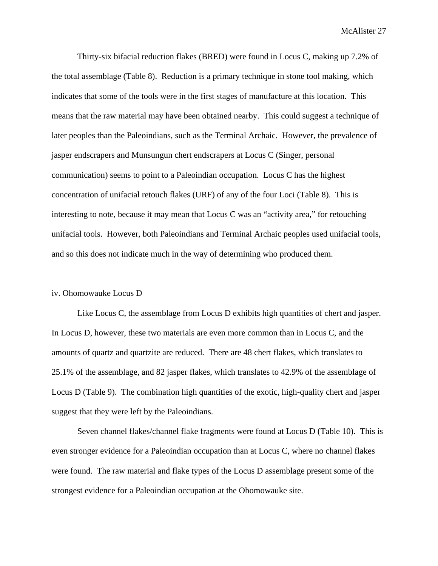Thirty-six bifacial reduction flakes (BRED) were found in Locus C, making up 7.2% of the total assemblage (Table 8). Reduction is a primary technique in stone tool making, which indicates that some of the tools were in the first stages of manufacture at this location. This means that the raw material may have been obtained nearby. This could suggest a technique of later peoples than the Paleoindians, such as the Terminal Archaic. However, the prevalence of jasper endscrapers and Munsungun chert endscrapers at Locus C (Singer, personal communication) seems to point to a Paleoindian occupation. Locus C has the highest concentration of unifacial retouch flakes (URF) of any of the four Loci (Table 8). This is interesting to note, because it may mean that Locus C was an "activity area," for retouching unifacial tools. However, both Paleoindians and Terminal Archaic peoples used unifacial tools, and so this does not indicate much in the way of determining who produced them.

### iv. Ohomowauke Locus D

Like Locus C, the assemblage from Locus D exhibits high quantities of chert and jasper. In Locus D, however, these two materials are even more common than in Locus C, and the amounts of quartz and quartzite are reduced. There are 48 chert flakes, which translates to 25.1% of the assemblage, and 82 jasper flakes, which translates to 42.9% of the assemblage of Locus D (Table 9). The combination high quantities of the exotic, high-quality chert and jasper suggest that they were left by the Paleoindians.

Seven channel flakes/channel flake fragments were found at Locus D (Table 10). This is even stronger evidence for a Paleoindian occupation than at Locus C, where no channel flakes were found. The raw material and flake types of the Locus D assemblage present some of the strongest evidence for a Paleoindian occupation at the Ohomowauke site.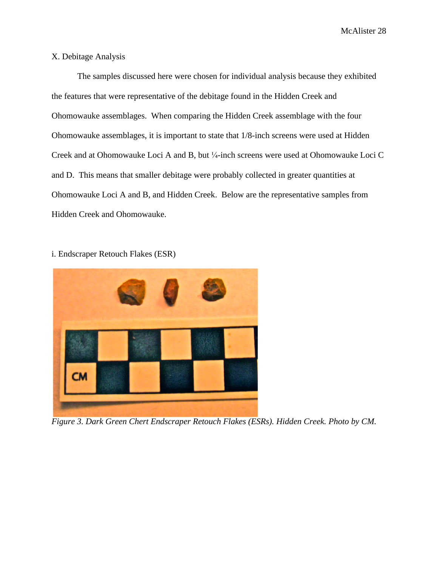### X. Debitage Analysis

The samples discussed here were chosen for individual analysis because they exhibited the features that were representative of the debitage found in the Hidden Creek and Ohomowauke assemblages. When comparing the Hidden Creek assemblage with the four Ohomowauke assemblages, it is important to state that 1/8-inch screens were used at Hidden Creek and at Ohomowauke Loci A and B, but ¼-inch screens were used at Ohomowauke Loci C and D. This means that smaller debitage were probably collected in greater quantities at Ohomowauke Loci A and B, and Hidden Creek. Below are the representative samples from Hidden Creek and Ohomowauke.

i. Endscraper Retouch Flakes (ESR)



*Figure 3. Dark Green Chert Endscraper Retouch Flakes (ESRs). Hidden Creek. Photo by CM.*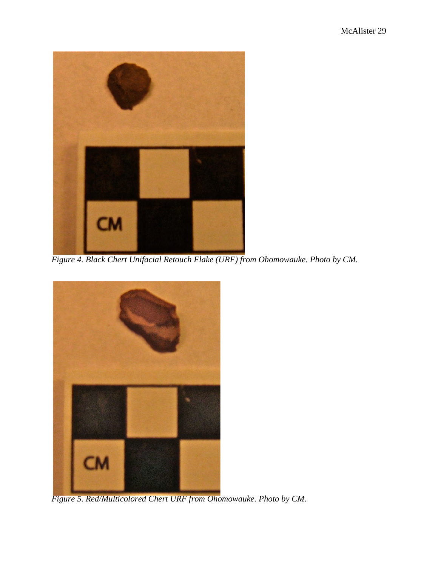

*Figure 4. Black Chert Unifacial Retouch Flake (URF) from Ohomowauke. Photo by CM.*



*Figure 5. Red/Multicolored Chert URF from Ohomowauke. Photo by CM.*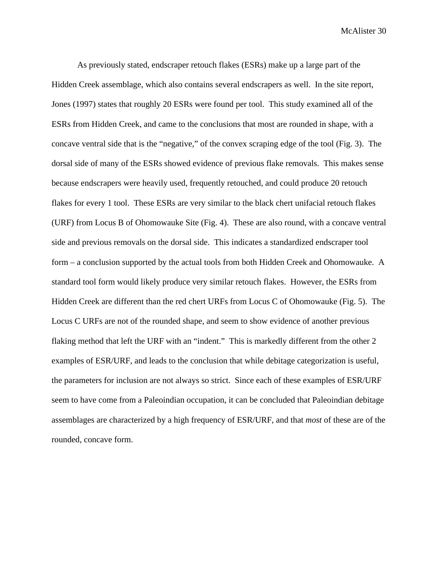As previously stated, endscraper retouch flakes (ESRs) make up a large part of the Hidden Creek assemblage, which also contains several endscrapers as well. In the site report, Jones (1997) states that roughly 20 ESRs were found per tool. This study examined all of the ESRs from Hidden Creek, and came to the conclusions that most are rounded in shape, with a concave ventral side that is the "negative," of the convex scraping edge of the tool (Fig. 3). The dorsal side of many of the ESRs showed evidence of previous flake removals. This makes sense because endscrapers were heavily used, frequently retouched, and could produce 20 retouch flakes for every 1 tool. These ESRs are very similar to the black chert unifacial retouch flakes (URF) from Locus B of Ohomowauke Site (Fig. 4). These are also round, with a concave ventral side and previous removals on the dorsal side. This indicates a standardized endscraper tool form – a conclusion supported by the actual tools from both Hidden Creek and Ohomowauke. A standard tool form would likely produce very similar retouch flakes. However, the ESRs from Hidden Creek are different than the red chert URFs from Locus C of Ohomowauke (Fig. 5). The Locus C URFs are not of the rounded shape, and seem to show evidence of another previous flaking method that left the URF with an "indent." This is markedly different from the other 2 examples of ESR/URF, and leads to the conclusion that while debitage categorization is useful, the parameters for inclusion are not always so strict. Since each of these examples of ESR/URF seem to have come from a Paleoindian occupation, it can be concluded that Paleoindian debitage assemblages are characterized by a high frequency of ESR/URF, and that *most* of these are of the rounded, concave form.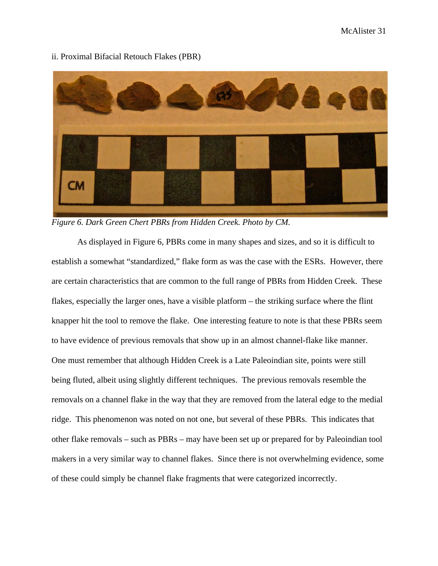

ii. Proximal Bifacial Retouch Flakes (PBR)

*Figure 6. Dark Green Chert PBRs from Hidden Creek. Photo by CM.*

As displayed in Figure 6, PBRs come in many shapes and sizes, and so it is difficult to establish a somewhat "standardized," flake form as was the case with the ESRs. However, there are certain characteristics that are common to the full range of PBRs from Hidden Creek. These flakes, especially the larger ones, have a visible platform – the striking surface where the flint knapper hit the tool to remove the flake. One interesting feature to note is that these PBRs seem to have evidence of previous removals that show up in an almost channel-flake like manner. One must remember that although Hidden Creek is a Late Paleoindian site, points were still being fluted, albeit using slightly different techniques. The previous removals resemble the removals on a channel flake in the way that they are removed from the lateral edge to the medial ridge. This phenomenon was noted on not one, but several of these PBRs. This indicates that other flake removals – such as PBRs – may have been set up or prepared for by Paleoindian tool makers in a very similar way to channel flakes. Since there is not overwhelming evidence, some of these could simply be channel flake fragments that were categorized incorrectly.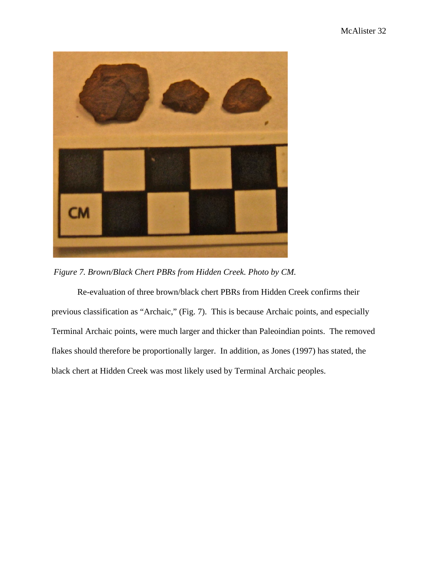

*Figure 7. Brown/Black Chert PBRs from Hidden Creek. Photo by CM.*

Re-evaluation of three brown/black chert PBRs from Hidden Creek confirms their previous classification as "Archaic," (Fig. 7). This is because Archaic points, and especially Terminal Archaic points, were much larger and thicker than Paleoindian points. The removed flakes should therefore be proportionally larger. In addition, as Jones (1997) has stated, the black chert at Hidden Creek was most likely used by Terminal Archaic peoples.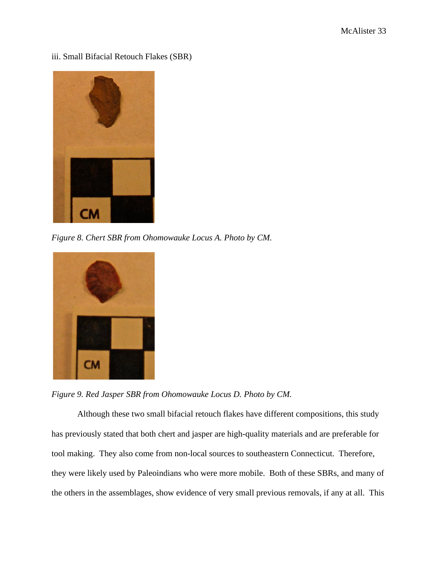iii. Small Bifacial Retouch Flakes (SBR)



*Figure 8. Chert SBR from Ohomowauke Locus A. Photo by CM.*



*Figure 9. Red Jasper SBR from Ohomowauke Locus D. Photo by CM.*

Although these two small bifacial retouch flakes have different compositions, this study has previously stated that both chert and jasper are high-quality materials and are preferable for tool making. They also come from non-local sources to southeastern Connecticut. Therefore, they were likely used by Paleoindians who were more mobile. Both of these SBRs, and many of the others in the assemblages, show evidence of very small previous removals, if any at all. This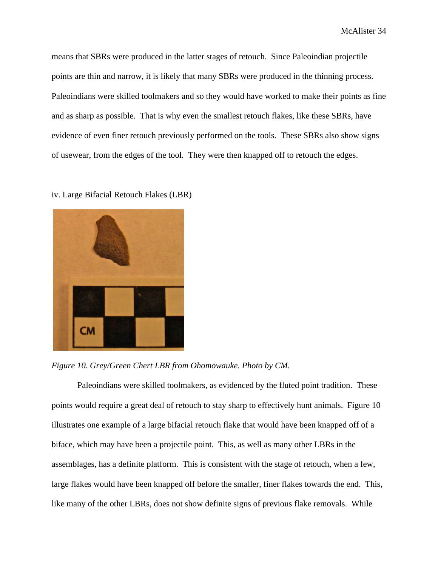means that SBRs were produced in the latter stages of retouch. Since Paleoindian projectile points are thin and narrow, it is likely that many SBRs were produced in the thinning process. Paleoindians were skilled toolmakers and so they would have worked to make their points as fine and as sharp as possible. That is why even the smallest retouch flakes, like these SBRs, have evidence of even finer retouch previously performed on the tools. These SBRs also show signs of usewear, from the edges of the tool. They were then knapped off to retouch the edges.

iv. Large Bifacial Retouch Flakes (LBR)



*Figure 10. Grey/Green Chert LBR from Ohomowauke. Photo by CM.*

Paleoindians were skilled toolmakers, as evidenced by the fluted point tradition. These points would require a great deal of retouch to stay sharp to effectively hunt animals. Figure 10 illustrates one example of a large bifacial retouch flake that would have been knapped off of a biface, which may have been a projectile point. This, as well as many other LBRs in the assemblages, has a definite platform. This is consistent with the stage of retouch, when a few, large flakes would have been knapped off before the smaller, finer flakes towards the end. This, like many of the other LBRs, does not show definite signs of previous flake removals. While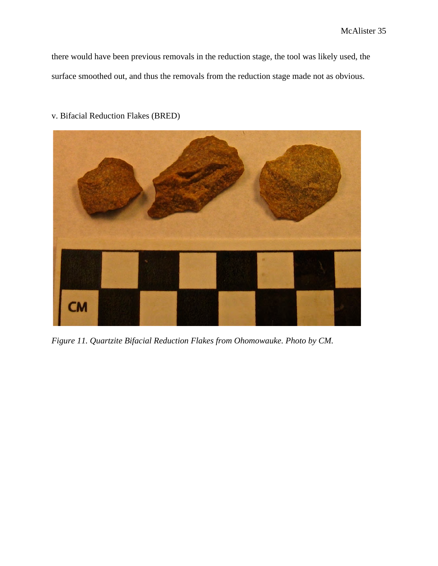there would have been previous removals in the reduction stage, the tool was likely used, the surface smoothed out, and thus the removals from the reduction stage made not as obvious.



v. Bifacial Reduction Flakes (BRED)

*Figure 11. Quartzite Bifacial Reduction Flakes from Ohomowauke. Photo by CM.*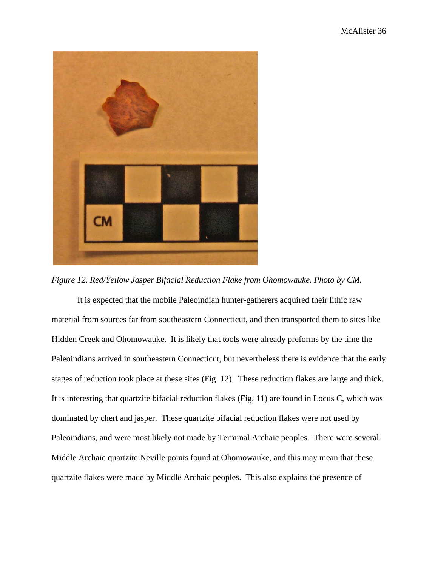

*Figure 12. Red/Yellow Jasper Bifacial Reduction Flake from Ohomowauke. Photo by CM.*

It is expected that the mobile Paleoindian hunter-gatherers acquired their lithic raw material from sources far from southeastern Connecticut, and then transported them to sites like Hidden Creek and Ohomowauke. It is likely that tools were already preforms by the time the Paleoindians arrived in southeastern Connecticut, but nevertheless there is evidence that the early stages of reduction took place at these sites (Fig. 12). These reduction flakes are large and thick. It is interesting that quartzite bifacial reduction flakes (Fig. 11) are found in Locus C, which was dominated by chert and jasper. These quartzite bifacial reduction flakes were not used by Paleoindians, and were most likely not made by Terminal Archaic peoples. There were several Middle Archaic quartzite Neville points found at Ohomowauke, and this may mean that these quartzite flakes were made by Middle Archaic peoples. This also explains the presence of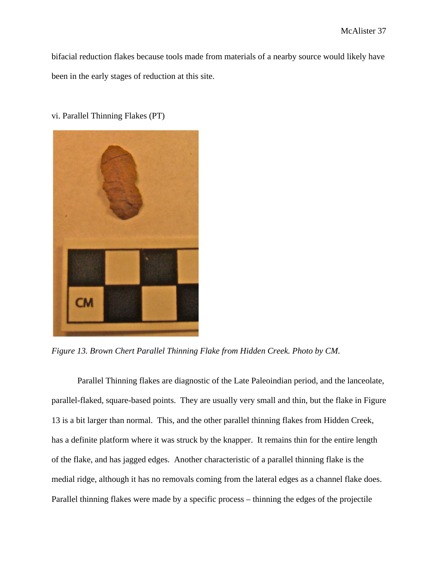bifacial reduction flakes because tools made from materials of a nearby source would likely have been in the early stages of reduction at this site.

vi. Parallel Thinning Flakes (PT)



*Figure 13. Brown Chert Parallel Thinning Flake from Hidden Creek. Photo by CM.*

Parallel Thinning flakes are diagnostic of the Late Paleoindian period, and the lanceolate, parallel-flaked, square-based points. They are usually very small and thin, but the flake in Figure 13 is a bit larger than normal. This, and the other parallel thinning flakes from Hidden Creek, has a definite platform where it was struck by the knapper. It remains thin for the entire length of the flake, and has jagged edges. Another characteristic of a parallel thinning flake is the medial ridge, although it has no removals coming from the lateral edges as a channel flake does. Parallel thinning flakes were made by a specific process – thinning the edges of the projectile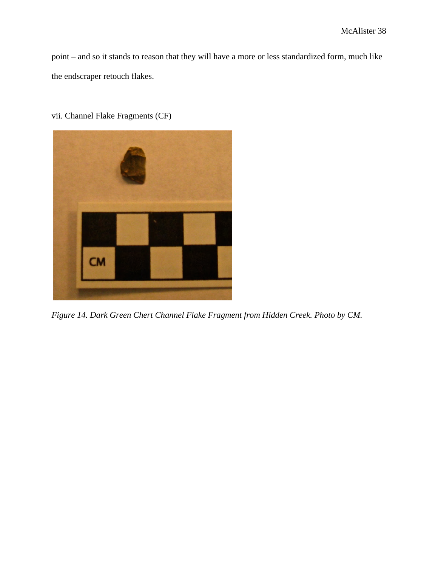point – and so it stands to reason that they will have a more or less standardized form, much like the endscraper retouch flakes.

vii. Channel Flake Fragments (CF)



*Figure 14. Dark Green Chert Channel Flake Fragment from Hidden Creek. Photo by CM.*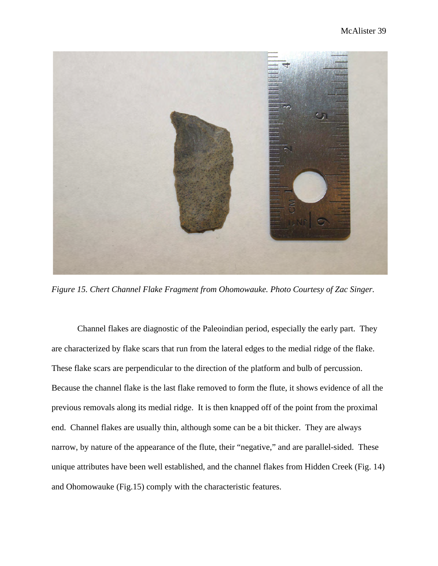

*Figure 15. Chert Channel Flake Fragment from Ohomowauke. Photo Courtesy of Zac Singer.*

Channel flakes are diagnostic of the Paleoindian period, especially the early part. They are characterized by flake scars that run from the lateral edges to the medial ridge of the flake. These flake scars are perpendicular to the direction of the platform and bulb of percussion. Because the channel flake is the last flake removed to form the flute, it shows evidence of all the previous removals along its medial ridge. It is then knapped off of the point from the proximal end. Channel flakes are usually thin, although some can be a bit thicker. They are always narrow, by nature of the appearance of the flute, their "negative," and are parallel-sided. These unique attributes have been well established, and the channel flakes from Hidden Creek (Fig. 14) and Ohomowauke (Fig.15) comply with the characteristic features.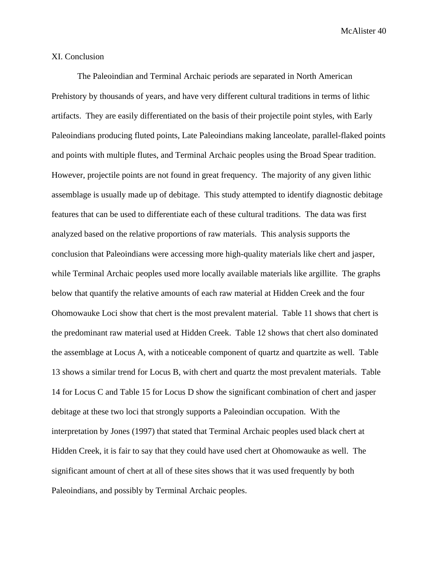### XI. Conclusion

The Paleoindian and Terminal Archaic periods are separated in North American Prehistory by thousands of years, and have very different cultural traditions in terms of lithic artifacts. They are easily differentiated on the basis of their projectile point styles, with Early Paleoindians producing fluted points, Late Paleoindians making lanceolate, parallel-flaked points and points with multiple flutes, and Terminal Archaic peoples using the Broad Spear tradition. However, projectile points are not found in great frequency. The majority of any given lithic assemblage is usually made up of debitage. This study attempted to identify diagnostic debitage features that can be used to differentiate each of these cultural traditions. The data was first analyzed based on the relative proportions of raw materials. This analysis supports the conclusion that Paleoindians were accessing more high-quality materials like chert and jasper, while Terminal Archaic peoples used more locally available materials like argillite. The graphs below that quantify the relative amounts of each raw material at Hidden Creek and the four Ohomowauke Loci show that chert is the most prevalent material. Table 11 shows that chert is the predominant raw material used at Hidden Creek. Table 12 shows that chert also dominated the assemblage at Locus A, with a noticeable component of quartz and quartzite as well. Table 13 shows a similar trend for Locus B, with chert and quartz the most prevalent materials. Table 14 for Locus C and Table 15 for Locus D show the significant combination of chert and jasper debitage at these two loci that strongly supports a Paleoindian occupation. With the interpretation by Jones (1997) that stated that Terminal Archaic peoples used black chert at Hidden Creek, it is fair to say that they could have used chert at Ohomowauke as well. The significant amount of chert at all of these sites shows that it was used frequently by both Paleoindians, and possibly by Terminal Archaic peoples.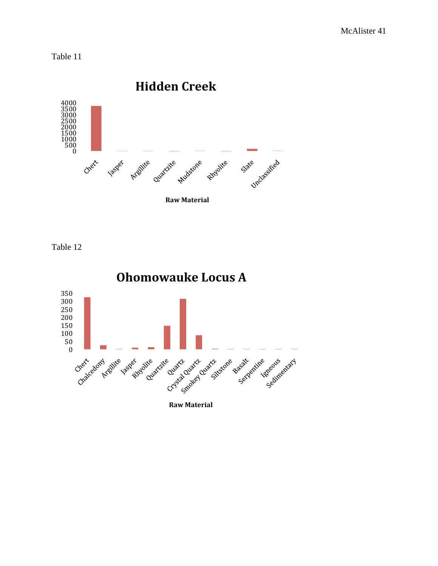Table 11



Table 12

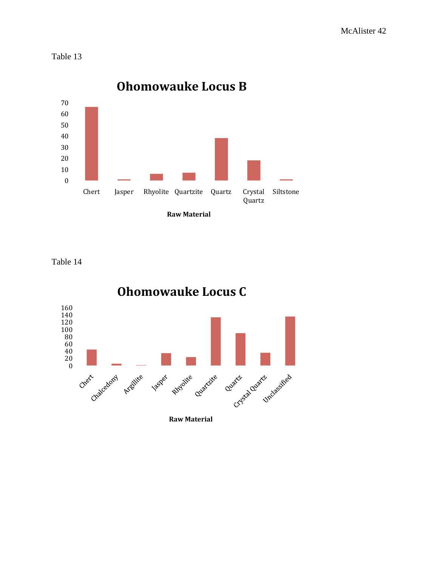Table 13



Table 14

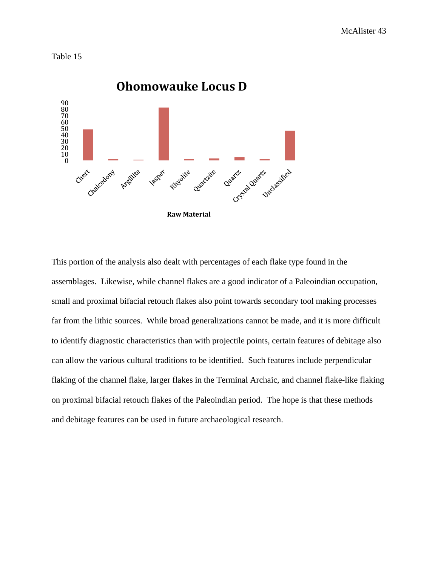



This portion of the analysis also dealt with percentages of each flake type found in the assemblages. Likewise, while channel flakes are a good indicator of a Paleoindian occupation, small and proximal bifacial retouch flakes also point towards secondary tool making processes far from the lithic sources. While broad generalizations cannot be made, and it is more difficult to identify diagnostic characteristics than with projectile points, certain features of debitage also can allow the various cultural traditions to be identified. Such features include perpendicular flaking of the channel flake, larger flakes in the Terminal Archaic, and channel flake-like flaking on proximal bifacial retouch flakes of the Paleoindian period. The hope is that these methods and debitage features can be used in future archaeological research.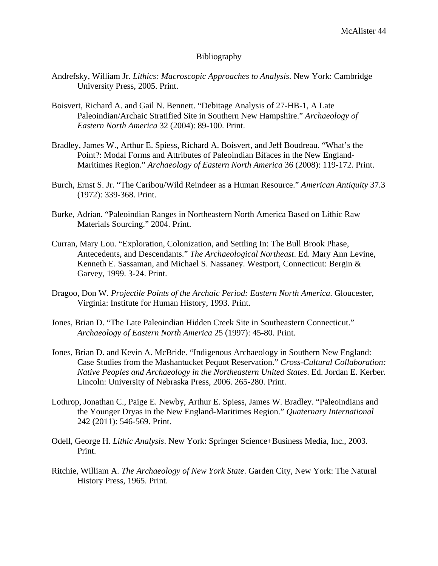### Bibliography

- Andrefsky, William Jr. *Lithics: Macroscopic Approaches to Analysis*. New York: Cambridge University Press, 2005. Print.
- Boisvert, Richard A. and Gail N. Bennett. "Debitage Analysis of 27-HB-1, A Late Paleoindian/Archaic Stratified Site in Southern New Hampshire." *Archaeology of Eastern North America* 32 (2004): 89-100. Print.
- Bradley, James W., Arthur E. Spiess, Richard A. Boisvert, and Jeff Boudreau. "What's the Point?: Modal Forms and Attributes of Paleoindian Bifaces in the New England-Maritimes Region." *Archaeology of Eastern North America* 36 (2008): 119-172. Print.
- Burch, Ernst S. Jr. "The Caribou/Wild Reindeer as a Human Resource." *American Antiquity* 37.3 (1972): 339-368. Print.
- Burke, Adrian. "Paleoindian Ranges in Northeastern North America Based on Lithic Raw Materials Sourcing." 2004. Print.
- Curran, Mary Lou. "Exploration, Colonization, and Settling In: The Bull Brook Phase, Antecedents, and Descendants." *The Archaeological Northeast*. Ed. Mary Ann Levine, Kenneth E. Sassaman, and Michael S. Nassaney. Westport, Connecticut: Bergin & Garvey, 1999. 3-24. Print.
- Dragoo, Don W. *Projectile Points of the Archaic Period: Eastern North America*. Gloucester, Virginia: Institute for Human History, 1993. Print.
- Jones, Brian D. "The Late Paleoindian Hidden Creek Site in Southeastern Connecticut." *Archaeology of Eastern North America* 25 (1997): 45-80. Print.
- Jones, Brian D. and Kevin A. McBride. "Indigenous Archaeology in Southern New England: Case Studies from the Mashantucket Pequot Reservation." *Cross-Cultural Collaboration: Native Peoples and Archaeology in the Northeastern United States*. Ed. Jordan E. Kerber. Lincoln: University of Nebraska Press, 2006. 265-280. Print.
- Lothrop, Jonathan C., Paige E. Newby, Arthur E. Spiess, James W. Bradley. "Paleoindians and the Younger Dryas in the New England-Maritimes Region." *Quaternary International* 242 (2011): 546-569. Print.
- Odell, George H. *Lithic Analysis*. New York: Springer Science+Business Media, Inc., 2003. Print.
- Ritchie, William A. *The Archaeology of New York State*. Garden City, New York: The Natural History Press, 1965. Print.